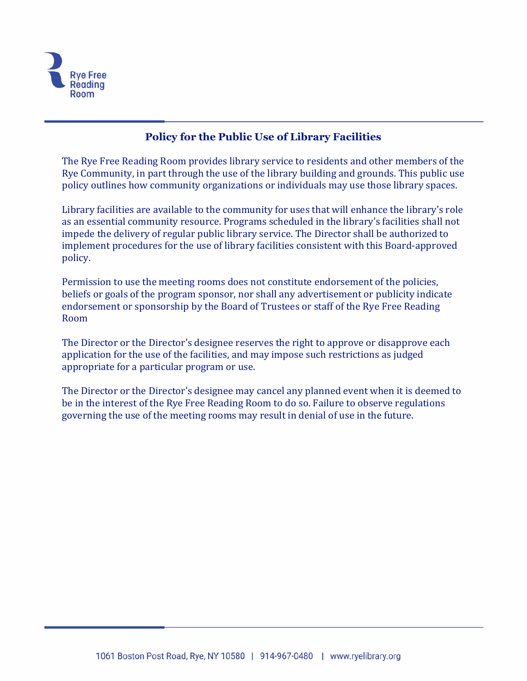

# **Policy for the Public Use of Library Facilities**

The Rye Free Reading Room provides library service to residents and other members of the Rye Community, in part through the use of the library building and grounds. This public use policy outlines how community organizations or individuals may use those library spaces.

Library facilities are available to the community for uses that will enhance the library's role as an essential community resource. Programs scheduled in the library's facilities shall not impede the delivery of regular public library service. The Director shall be authorized to implement procedures for the use of library facilities consistent with this Board-approved policy.

Permission to use the meeting rooms does not constitute endorsement of the policies, beliefs or goals of the program sponsor, nor shall any advertisement or publicity indicate endorsement or sponsorship by the Board of Trustees or staff of the Rye Free Reading Room

The Director or the Director's designee reserves the right to approve or disapprove each application for the use of the facilities, and may impose such restrictions as judged appropriate for a particular program or use.

The Director or the Director's designee may cancel any planned event when it is deemed to be in the interest of the Rye Free Reading Room to do so. Failure to observe regulations governing the use of the meeting rooms may result in denial of use in the future.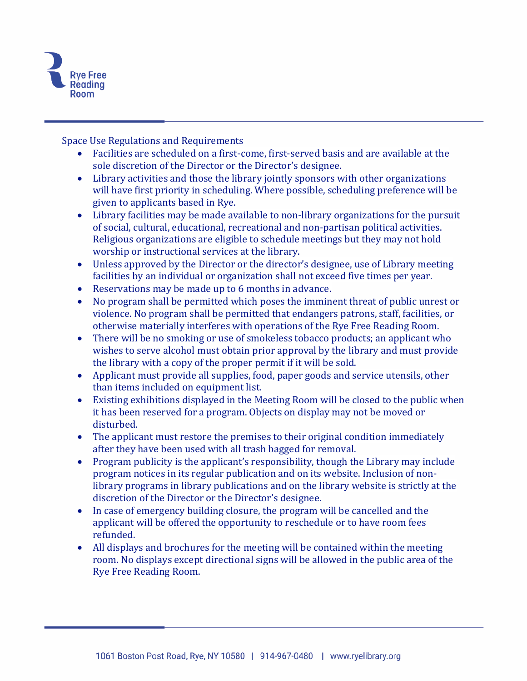

Space Use Regulations and Requirements

- Facilities are scheduled on a first-come, first-served basis and are available at the sole discretion of the Director or the Director's designee.
- Library activities and those the library jointly sponsors with other organizations will have first priority in scheduling. Where possible, scheduling preference will be given to applicants based in Rye.
- Library facilities may be made available to non-library organizations for the pursuit of social, cultural, educational, recreational and non-partisan political activities. Religious organizations are eligible to schedule meetings but they may not hold worship or instructional services at the library.
- Unless approved by the Director or the director's designee, use of Library meeting facilities by an individual or organization shall not exceed five times per year.
- Reservations may be made up to 6 months in advance.
- No program shall be permitted which poses the imminent threat of public unrest or violence. No program shall be permitted that endangers patrons, staff, facilities, or otherwise materially interferes with operations of the Rye Free Reading Room.
- There will be no smoking or use of smokeless tobacco products; an applicant who wishes to serve alcohol must obtain prior approval by the library and must provide the library with a copy of the proper permit if it will be sold.
- Applicant must provide all supplies, food, paper goods and service utensils, other than items included on equipment list.
- Existing exhibitions displayed in the Meeting Room will be closed to the public when it has been reserved for a program. Objects on display may not be moved or disturbed.
- The applicant must restore the premises to their original condition immediately after they have been used with all trash bagged for removal.
- Program publicity is the applicant's responsibility, though the Library may include program notices in its regular publication and on its website. Inclusion of nonlibrary programs in library publications and on the library website is strictly at the discretion of the Director or the Director's designee.
- In case of emergency building closure, the program will be cancelled and the applicant will be offered the opportunity to reschedule or to have room fees refunded.
- All displays and brochures for the meeting will be contained within the meeting room. No displays except directional signs will be allowed in the public area of the Rye Free Reading Room.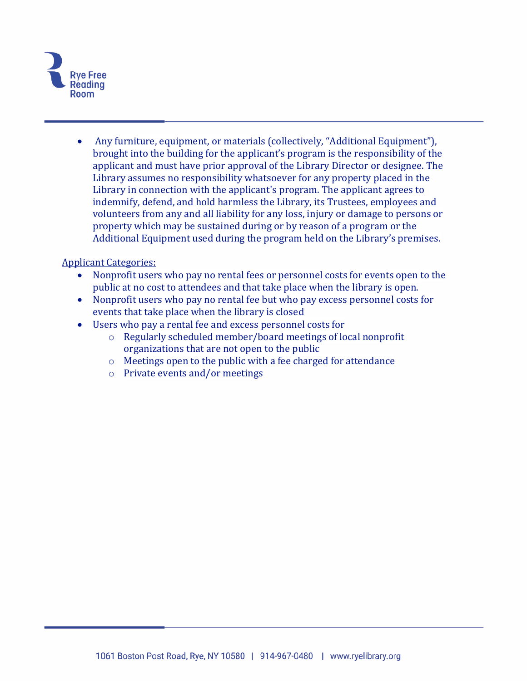

• Any furniture, equipment, or materials (collectively, "Additional Equipment"), brought into the building for the applicant's program is the responsibility of the applicant and must have prior approval of the Library Director or designee. The Library assumes no responsibility whatsoever for any property placed in the Library in connection with the applicant's program. The applicant agrees to indemnify, defend, and hold harmless the Library, its Trustees, employees and volunteers from any and all liability for any loss, injury or damage to persons or property which may be sustained during or by reason of a program or the Additional Equipment used during the program held on the Library's premises.

#### Applicant Categories:

- Nonprofit users who pay no rental fees or personnel costs for events open to the public at no cost to attendees and that take place when the library is open.
- Nonprofit users who pay no rental fee but who pay excess personnel costs for events that take place when the library is closed
- Users who pay a rental fee and excess personnel costs for
	- o Regularly scheduled member/board meetings of local nonprofit organizations that are not open to the public
	- o Meetings open to the public with a fee charged for attendance
	- o Private events and/or meetings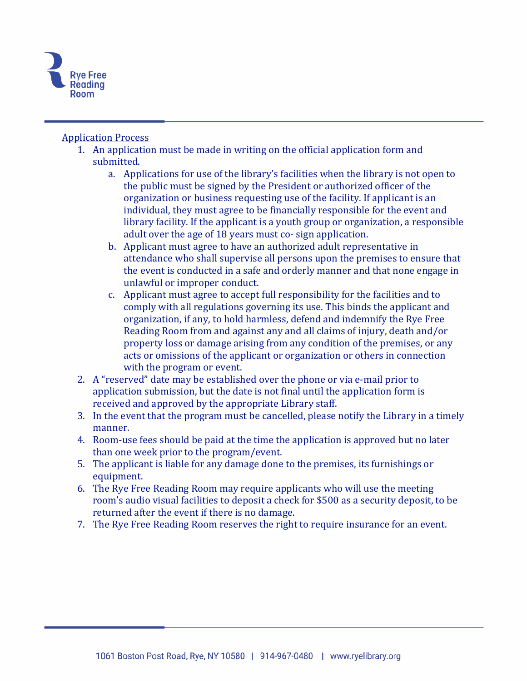

## Application Process

- 1. An application must be made in writing on the official application form and submitted.
	- a. Applications for use of the library's facilities when the library is not open to the public must be signed by the President or authorized officer of the organization or business requesting use of the facility. If applicant is an individual, they must agree to be financially responsible for the event and library facility. If the applicant is a youth group or organization, a responsible adult over the age of 18 years must co- sign application.
	- b. Applicant must agree to have an authorized adult representative in attendance who shall supervise all persons upon the premises to ensure that the event is conducted in a safe and orderly manner and that none engage in unlawful or improper conduct.
	- c. Applicant must agree to accept full responsibility for the facilities and to comply with all regulations governing its use. This binds the applicant and organization, if any, to hold harmless, defend and indemnify the Rye Free Reading Room from and against any and all claims of injury, death and/or property loss or damage arising from any condition of the premises, or any acts or omissions of the applicant or organization or others in connection with the program or event.
- 2. A "reserved" date may be established over the phone or via e-mail prior to application submission, but the date is not final until the application form is received and approved by the appropriate Library staff.
- 3. In the event that the program must be cancelled, please notify the Library in a timely manner.
- 4. Room-use fees should be paid at the time the application is approved but no later than one week prior to the program/event.
- 5. The applicant is liable for any damage done to the premises, its furnishings or equipment.
- 6. The Rye Free Reading Room may require applicants who will use the meeting room's audio visual facilities to deposit a check for \$500 as a security deposit, to be returned after the event if there is no damage.
- 7. The Rye Free Reading Room reserves the right to require insurance for an event.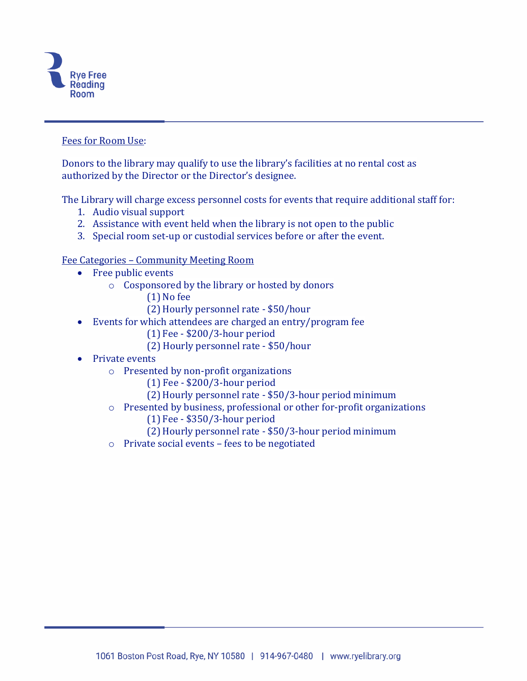

#### Fees for Room Use:

Donors to the library may qualify to use the library's facilities at no rental cost as authorized by the Director or the Director's designee.

The Library will charge excess personnel costs for events that require additional staff for:

- 1. Audio visual support
- 2. Assistance with event held when the library is not open to the public
- 3. Special room set-up or custodial services before or after the event.

Fee Categories – Community Meeting Room

- Free public events
	- o Cosponsored by the library or hosted by donors
		- (1) No fee
		- (2) Hourly personnel rate \$50/hour
- Events for which attendees are charged an entry/program fee
	- (1) Fee \$200/3-hour period
	- (2) Hourly personnel rate \$50/hour
- Private events
	- o Presented by non-profit organizations
		- (1) Fee \$200/3-hour period
		- (2) Hourly personnel rate \$50/3-hour period minimum
	- o Presented by business, professional or other for-profit organizations
		- (1) Fee \$350/3-hour period
		- (2) Hourly personnel rate \$50/3-hour period minimum
	- o Private social events fees to be negotiated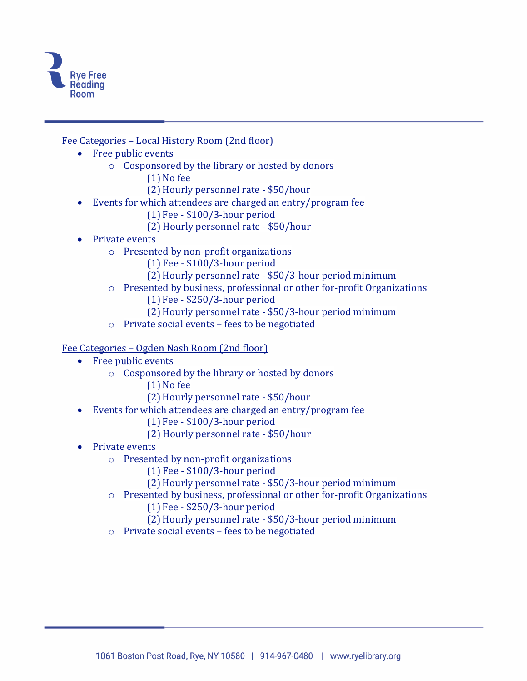

Fee Categories – Local History Room (2nd floor)

- Free public events
	- o Cosponsored by the library or hosted by donors
		- (1) No fee
		- (2) Hourly personnel rate \$50/hour
- Events for which attendees are charged an entry/program fee
	- (1) Fee \$100/3-hour period
	- (2) Hourly personnel rate \$50/hour
- Private events
	- o Presented by non-profit organizations
		- (1) Fee \$100/3-hour period
		- (2) Hourly personnel rate \$50/3-hour period minimum
	- o Presented by business, professional or other for-profit Organizations
		- (1) Fee \$250/3-hour period
		- (2) Hourly personnel rate \$50/3-hour period minimum
	- o Private social events fees to be negotiated

#### Fee Categories – Ogden Nash Room (2nd floor)

- Free public events
	- o Cosponsored by the library or hosted by donors
		- (1) No fee
		- (2) Hourly personnel rate \$50/hour
- Events for which attendees are charged an entry/program fee
	- (1) Fee \$100/3-hour period
	- (2) Hourly personnel rate \$50/hour
- Private events
	- o Presented by non-profit organizations
		- (1) Fee \$100/3-hour period
		- (2) Hourly personnel rate \$50/3-hour period minimum
	- o Presented by business, professional or other for-profit Organizations
		- (1) Fee \$250/3-hour period
		- (2) Hourly personnel rate \$50/3-hour period minimum
	- o Private social events fees to be negotiated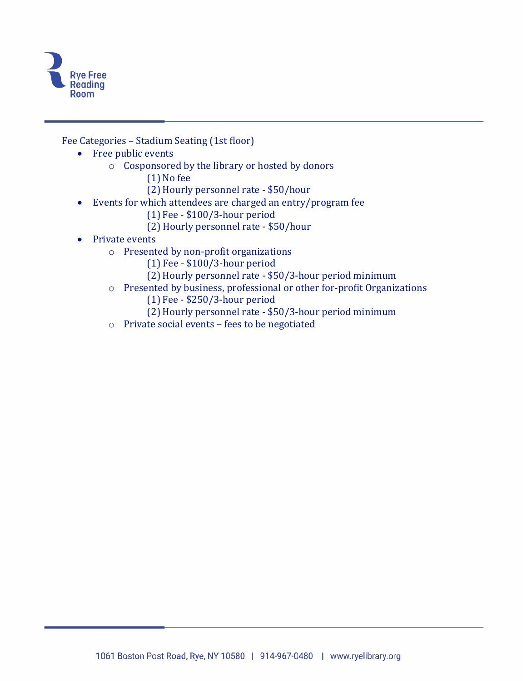

Fee Categories – Stadium Seating (1st floor)

- Free public events
	- o Cosponsored by the library or hosted by donors
		- (1) No fee
		- (2) Hourly personnel rate \$50/hour
- Events for which attendees are charged an entry/program fee
	- (1) Fee \$100/3-hour period
	- (2) Hourly personnel rate \$50/hour
- Private events
	- o Presented by non-profit organizations
		- (1) Fee \$100/3-hour period
		- (2) Hourly personnel rate \$50/3-hour period minimum
	- o Presented by business, professional or other for-profit Organizations
		- (1) Fee \$250/3-hour period
		- (2) Hourly personnel rate \$50/3-hour period minimum
	- o Private social events fees to be negotiated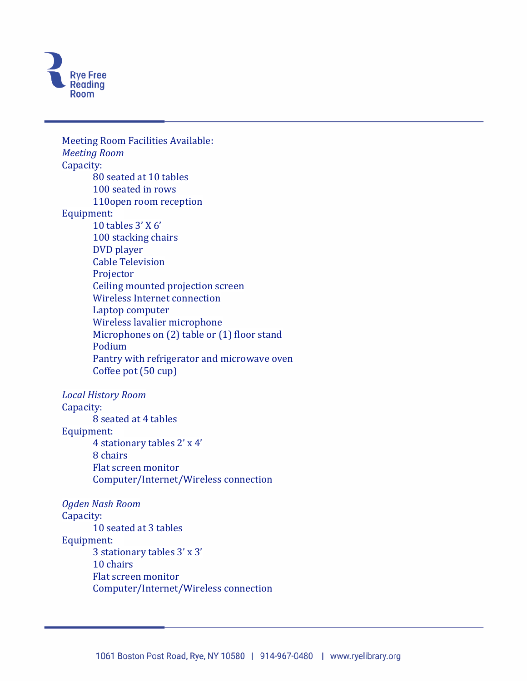

Meeting Room Facilities Available: *Meeting Room* Capacity: 80 seated at 10 tables 100 seated in rows 110open room reception Equipment: 10 tables 3' X 6' 100 stacking chairs DVD player Cable Television Projector Ceiling mounted projection screen Wireless Internet connection Laptop computer Wireless lavalier microphone Microphones on (2) table or (1) floor stand Podium Pantry with refrigerator and microwave oven Coffee pot (50 cup) *Local History Room* Capacity: 8 seated at 4 tables Equipment: 4 stationary tables 2' x 4' 8 chairs Flat screen monitor Computer/Internet/Wireless connection *Ogden Nash Room* Capacity: 10 seated at 3 tables Equipment: 3 stationary tables 3' x 3' 10 chairs Flat screen monitor Computer/Internet/Wireless connection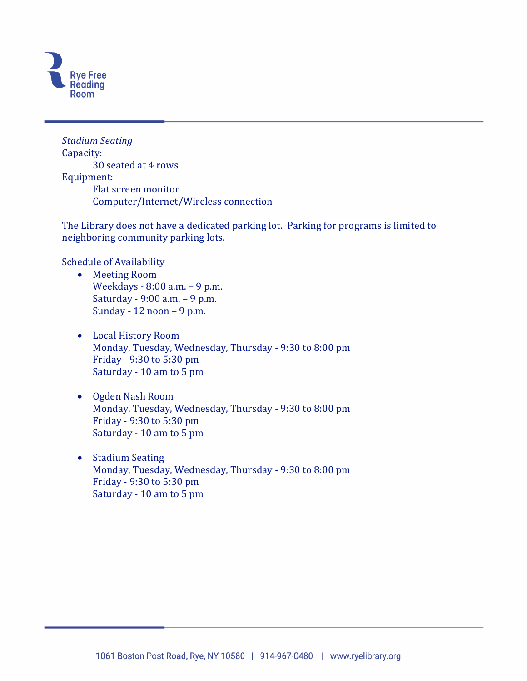

*Stadium Seating* Capacity: 30 seated at 4 rows Equipment: Flat screen monitor Computer/Internet/Wireless connection

The Library does not have a dedicated parking lot. Parking for programs is limited to neighboring community parking lots.

Schedule of Availability

- Meeting Room Weekdays - 8:00 a.m. – 9 p.m. Saturday - 9:00 a.m. – 9 p.m. Sunday - 12 noon – 9 p.m.
- Local History Room Monday, Tuesday, Wednesday, Thursday - 9:30 to 8:00 pm Friday - 9:30 to 5:30 pm Saturday - 10 am to 5 pm
- Ogden Nash Room Monday, Tuesday, Wednesday, Thursday - 9:30 to 8:00 pm Friday - 9:30 to 5:30 pm Saturday - 10 am to 5 pm
- Stadium Seating Monday, Tuesday, Wednesday, Thursday - 9:30 to 8:00 pm Friday - 9:30 to 5:30 pm Saturday - 10 am to 5 pm